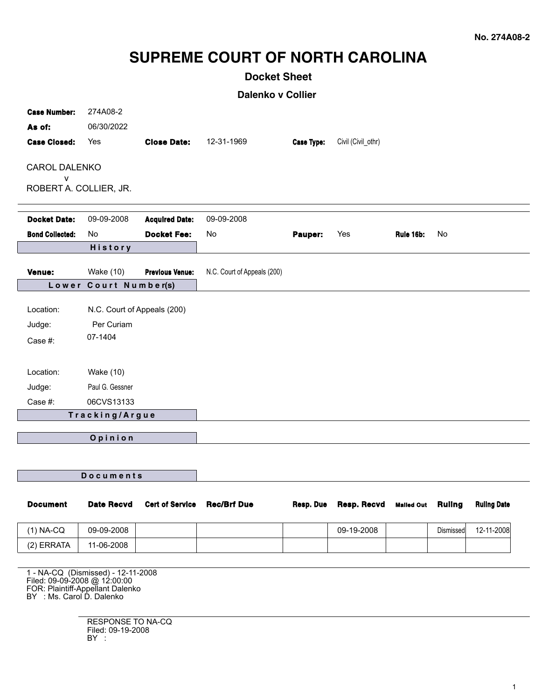# **SUPREME COURT OF NORTH CAROLINA**

## **Docket Sheet**

**Dalenko v Collier**

| <b>Case Number:</b><br>As of:<br><b>Case Closed:</b> | 274A08-2<br>06/30/2022<br>Yes      | <b>Close Date:</b>     | 12-31-1969                  | <b>Case Type:</b> | Civil (Civil_othr) |                   |               |                    |
|------------------------------------------------------|------------------------------------|------------------------|-----------------------------|-------------------|--------------------|-------------------|---------------|--------------------|
| <b>CAROL DALENKO</b>                                 |                                    |                        |                             |                   |                    |                   |               |                    |
| v                                                    |                                    |                        |                             |                   |                    |                   |               |                    |
| ROBERT A. COLLIER, JR.                               |                                    |                        |                             |                   |                    |                   |               |                    |
| <b>Docket Date:</b>                                  | 09-09-2008                         | <b>Acquired Date:</b>  | 09-09-2008                  |                   |                    |                   |               |                    |
| <b>Bond Collected:</b>                               | <b>No</b>                          | <b>Docket Fee:</b>     | No                          | Pauper:           | Yes                | Rule 16b:         | No            |                    |
|                                                      | History                            |                        |                             |                   |                    |                   |               |                    |
| Venue:                                               | Wake (10)                          | <b>Previous Venue:</b> | N.C. Court of Appeals (200) |                   |                    |                   |               |                    |
|                                                      | Lower Court Number(s)              |                        |                             |                   |                    |                   |               |                    |
|                                                      |                                    |                        |                             |                   |                    |                   |               |                    |
| Location:                                            | N.C. Court of Appeals (200)        |                        |                             |                   |                    |                   |               |                    |
| Judge:                                               | Per Curiam                         |                        |                             |                   |                    |                   |               |                    |
| Case #:                                              | 07-1404                            |                        |                             |                   |                    |                   |               |                    |
|                                                      |                                    |                        |                             |                   |                    |                   |               |                    |
| Location:                                            | Wake (10)                          |                        |                             |                   |                    |                   |               |                    |
| Judge:                                               | Paul G. Gessner                    |                        |                             |                   |                    |                   |               |                    |
| Case #:                                              | 06CVS13133                         |                        |                             |                   |                    |                   |               |                    |
|                                                      | Tracking/Argue                     |                        |                             |                   |                    |                   |               |                    |
|                                                      |                                    |                        |                             |                   |                    |                   |               |                    |
|                                                      | Opinion                            |                        |                             |                   |                    |                   |               |                    |
|                                                      |                                    |                        |                             |                   |                    |                   |               |                    |
| <b>Documents</b>                                     |                                    |                        |                             |                   |                    |                   |               |                    |
|                                                      |                                    |                        |                             |                   |                    |                   |               |                    |
| <b>Document</b>                                      | <b>Date Recvd</b>                  | <b>Cert of Service</b> | <b>Rec/Brf Due</b>          | Resp. Due         | <b>Resp. Recvd</b> | <b>Malled Out</b> | <b>Ruling</b> | <b>Ruling Date</b> |
| $(1)$ NA-CQ                                          | 09-09-2008                         |                        |                             |                   | 09-19-2008         |                   | Dismissed     | 12-11-2008         |
| (2) ERRATA                                           | 11-06-2008                         |                        |                             |                   |                    |                   |               |                    |
|                                                      |                                    |                        |                             |                   |                    |                   |               |                    |
| Filed: 09-09-2008 @ 12:00:00                         | 1 - NA-CQ (Dismissed) - 12-11-2008 |                        |                             |                   |                    |                   |               |                    |

FOR: Plaintiff-Appellant Dalenko BY : Ms. Carol D. Dalenko

RESPONSE TO NA-CQ Filed: 09-19-2008 BY :